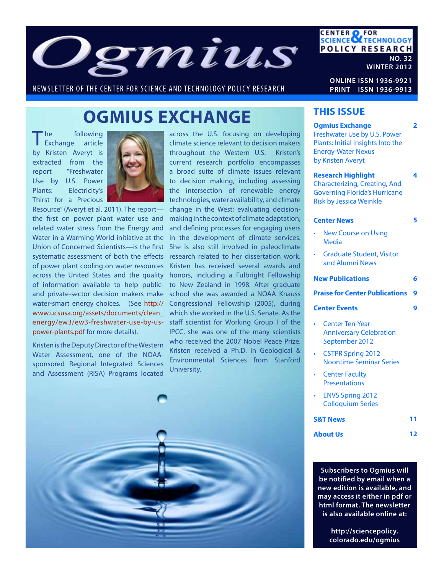

NEWSLETTER OF THE CENTER FOR SCIENCE AND TECHNOLOGY POLICY RESEARCH

**ONLINE ISSN 1936-9921 PRINT ISSN 1936-9913**

**CENTER OF FOR<br>SCIENCE OF TECHNOLOGY** 

**POLICY RESEARCH** 

**NO. 32**

**WINTER 2012**

# **OGMIUS EXCHANGE**

The following<br>
Exchange article by Kristen Averyt is extracted from the report "Freshwater Use by U.S. Power Plants: Electricity's Thirst for a Precious



Resource" (Averyt et al. 2011). The report the first on power plant water use and related water stress from the Energy and Water in a Warming World initiative at the Union of Concerned Scientists—is the first systematic assessment of both the effects of power plant cooling on water resources across the United States and the quality of information available to help publicand private-sector decision makers make water-smart energy choices. (See http:// www.ucsusa.org/assets/documents/clean\_ energy/ew3/ew3-freshwater-use-by-uspower-plants.pdf for more details).

Kristen is the Deputy Director of the Western Water Assessment, one of the NOAAsponsored Regional Integrated Sciences and Assessment (RISA) Programs located

across the U.S. focusing on developing climate science relevant to decision makers throughout the Western U.S. Kristen's current research portfolio encompasses a broad suite of climate issues relevant to decision making, including assessing the intersection of renewable energy technologies, water availability, and climate change in the West; evaluating decisionmaking in the context of climate adaptation; and defining processes for engaging users in the development of climate services. She is also still involved in paleoclimate research related to her dissertation work. Kristen has received several awards and honors, including a Fulbright Fellowship to New Zealand in 1998. After graduate school she was awarded a NOAA Knauss Congressional Fellowship (2005), during which she worked in the U.S. Senate. As the staff scientist for Working Group I of the IPCC, she was one of the many scientists who received the 2007 Nobel Peace Prize. Kristen received a Ph.D. in Geological & Environmental Sciences from Stanford University.



#### **THIS ISSUE**

| <b>Ogmius Exchange</b><br>Freshwater Use by U.S. Power<br>Plants: Initial Insights Into the<br><b>Energy-Water Nexus</b><br>by Kristen Averyt | 2  |
|-----------------------------------------------------------------------------------------------------------------------------------------------|----|
| <b>Research Highlight</b><br><b>Characterizing, Creating, And</b><br><b>Governing Florida's Hurricane</b><br><b>Risk by Jessica Weinkle</b>   | 4  |
| <b>Center News</b>                                                                                                                            | 5  |
| <b>New Course on Using</b><br><b>Media</b>                                                                                                    |    |
| <b>Graduate Student, Visitor</b><br>and Alumni News                                                                                           |    |
| <b>New Publications</b>                                                                                                                       | б  |
| <b>Praise for Center Publications</b>                                                                                                         | 9  |
| <b>Center Events</b>                                                                                                                          | 9  |
|                                                                                                                                               |    |
| <b>Center Ten-Year</b><br><b>Anniversary Celebration</b><br>September 2012                                                                    |    |
| <b>CSTPR Spring 2012</b><br><b>Noontime Seminar Series</b>                                                                                    |    |
| <b>Center Faculty</b><br><b>Presentations</b>                                                                                                 |    |
| <b>ENVS Spring 2012</b><br><b>Colloquium Series</b>                                                                                           |    |
| <b>S&amp;T News</b>                                                                                                                           | 11 |

**Subscribers to Ogmius will be notified by email when a new edition is available, and may access it either in pdf or html format. The newsletter is also available online at:**

> **http://sciencepolicy. colorado.edu/ogmius**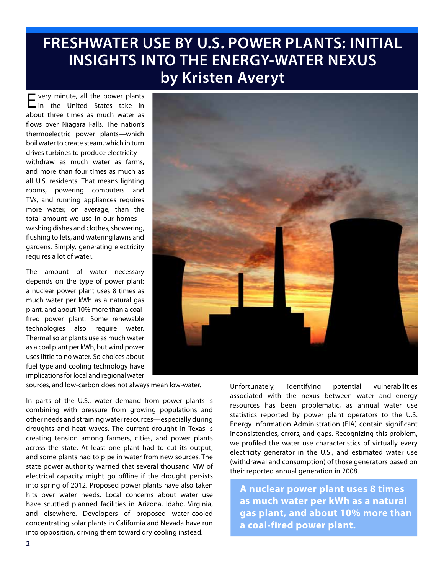# **FRESHWATER USE BY U.S. POWER PLANTS: INITIAL INSIGHTS INTO THE ENERGY-WATER NEXUS by Kristen Averyt**

Every minute, all the power plants in the United States take in about three times as much water as flows over Niagara Falls. The nation's thermoelectric power plants—which boil water to create steam, which in turn drives turbines to produce electricity withdraw as much water as farms, and more than four times as much as all U.S. residents. That means lighting rooms, powering computers and TVs, and running appliances requires more water, on average, than the total amount we use in our homes washing dishes and clothes, showering, flushing toilets, and watering lawns and gardens. Simply, generating electricity requires a lot of water.

The amount of water necessary depends on the type of power plant: a nuclear power plant uses 8 times as much water per kWh as a natural gas plant, and about 10% more than a coalfired power plant. Some renewable technologies also require water. Thermal solar plants use as much water as a coal plant per kWh, but wind power uses little to no water. So choices about fuel type and cooling technology have implications for local and regional water

sources, and low-carbon does not always mean low-water.

In parts of the U.S., water demand from power plants is combining with pressure from growing populations and other needs and straining water resources—especially during droughts and heat waves. The current drought in Texas is creating tension among farmers, cities, and power plants across the state. At least one plant had to cut its output, and some plants had to pipe in water from new sources. The state power authority warned that several thousand MW of electrical capacity might go offline if the drought persists into spring of 2012. Proposed power plants have also taken hits over water needs. Local concerns about water use have scuttled planned facilities in Arizona, Idaho, Virginia, and elsewhere. Developers of proposed water-cooled concentrating solar plants in California and Nevada have run into opposition, driving them toward dry cooling instead.



Unfortunately, identifying potential vulnerabilities associated with the nexus between water and energy resources has been problematic, as annual water use statistics reported by power plant operators to the U.S. Energy Information Administration (EIA) contain significant inconsistencies, errors, and gaps. Recognizing this problem, we profiled the water use characteristics of virtually every electricity generator in the U.S., and estimated water use (withdrawal and consumption) of those generators based on their reported annual generation in 2008.

**A nuclear power plant uses 8 times as much water per kWh as a natural gas plant, and about 10% more than a coal-fired power plant.**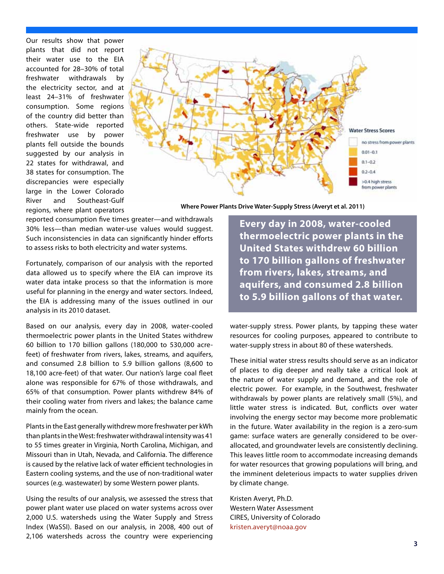Our results show that power plants that did not report their water use to the EIA accounted for 28–30% of total freshwater withdrawals by the electricity sector, and at least 24–31% of freshwater consumption. Some regions of the country did better than others. State-wide reported freshwater use by power plants fell outside the bounds suggested by our analysis in 22 states for withdrawal, and 38 states for consumption. The discrepancies were especially large in the Lower Colorado River and Southeast-Gulf regions, where plant operators



**Where Power Plants Drive Water-Supply Stress (Averyt et al. 2011)**

reported consumption five times greater—and withdrawals 30% less—than median water-use values would suggest. Such inconsistencies in data can significantly hinder efforts to assess risks to both electricity and water systems.

Fortunately, comparison of our analysis with the reported data allowed us to specify where the EIA can improve its water data intake process so that the information is more useful for planning in the energy and water sectors. Indeed, the EIA is addressing many of the issues outlined in our analysis in its 2010 dataset.

Based on our analysis, every day in 2008, water-cooled thermoelectric power plants in the United States withdrew 60 billion to 170 billion gallons (180,000 to 530,000 acrefeet) of freshwater from rivers, lakes, streams, and aquifers, and consumed 2.8 billion to 5.9 billion gallons (8,600 to 18,100 acre-feet) of that water. Our nation's large coal fleet alone was responsible for 67% of those withdrawals, and 65% of that consumption. Power plants withdrew 84% of their cooling water from rivers and lakes; the balance came mainly from the ocean.

Plants in the East generally withdrew more freshwater per kWh than plants in the West: freshwater withdrawal intensity was 41 to 55 times greater in Virginia, North Carolina, Michigan, and Missouri than in Utah, Nevada, and California. The difference is caused by the relative lack of water efficient technologies in Eastern cooling systems, and the use of non-traditional water sources (e.g. wastewater) by some Western power plants.

Using the results of our analysis, we assessed the stress that power plant water use placed on water systems across over 2,000 U.S. watersheds using the Water Supply and Stress Index (WaSSI). Based on our analysis, in 2008, 400 out of 2,106 watersheds across the country were experiencing

**Every day in 2008, water-cooled thermoelectric power plants in the United States withdrew 60 billion to 170 billion gallons of freshwater from rivers, lakes, streams, and aquifers, and consumed 2.8 billion to 5.9 billion gallons of that water.** 

water-supply stress. Power plants, by tapping these water resources for cooling purposes, appeared to contribute to water-supply stress in about 80 of these watersheds.

These initial water stress results should serve as an indicator of places to dig deeper and really take a critical look at the nature of water supply and demand, and the role of electric power. For example, in the Southwest, freshwater withdrawals by power plants are relatively small (5%), and little water stress is indicated. But, conflicts over water involving the energy sector may become more problematic in the future. Water availability in the region is a zero-sum game: surface waters are generally considered to be overallocated, and groundwater levels are consistently declining. This leaves little room to accommodate increasing demands for water resources that growing populations will bring, and the imminent deleterious impacts to water supplies driven by climate change.

Kristen Averyt, Ph.D. Western Water Assessment CIRES, University of Colorado kristen.averyt@noaa.gov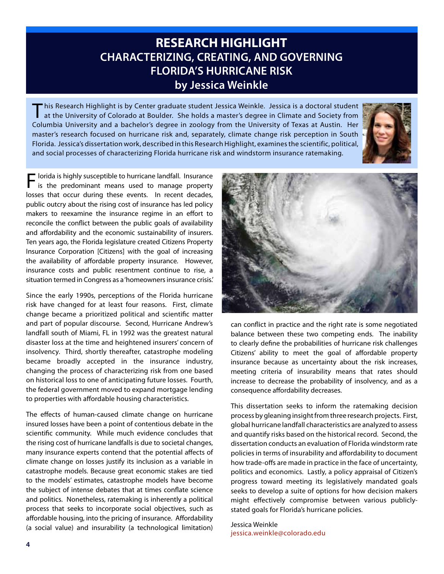### **RESEARCH HIGHLIGHT CHARACTERIZING, CREATING, AND GOVERNING FLORIDA'S HURRICANE RISK by Jessica Weinkle**

This Research Highlight is by Center graduate student Jessica Weinkle. Jessica is a doctoral student<br>at the University of Colorado at Boulder. She holds a master's degree in Climate and Society from Columbia University and a bachelor's degree in zoology from the University of Texas at Austin. Her master's research focused on hurricane risk and, separately, climate change risk perception in South Florida. Jessica's dissertation work, described in this Research Highlight, examines the scientific, political, and social processes of characterizing Florida hurricane risk and windstorm insurance ratemaking.



Florida is highly susceptible to hurricane landfall. Insurance is the predominant means used to manage property losses that occur during these events. In recent decades, public outcry about the rising cost of insurance has led policy makers to reexamine the insurance regime in an effort to reconcile the conflict between the public goals of availability and affordability and the economic sustainability of insurers. Ten years ago, the Florida legislature created Citizens Property Insurance Corporation [Citizens] with the goal of increasing the availability of affordable property insurance. However, insurance costs and public resentment continue to rise, a situation termed in Congress as a 'homeowners insurance crisis.'

Since the early 1990s, perceptions of the Florida hurricane risk have changed for at least four reasons. First, climate change became a prioritized political and scientific matter and part of popular discourse. Second, Hurricane Andrew's landfall south of Miami, FL in 1992 was the greatest natural disaster loss at the time and heightened insurers' concern of insolvency. Third, shortly thereafter, catastrophe modeling became broadly accepted in the insurance industry, changing the process of characterizing risk from one based on historical loss to one of anticipating future losses. Fourth, the federal government moved to expand mortgage lending to properties with affordable housing characteristics.

The effects of human-caused climate change on hurricane insured losses have been a point of contentious debate in the scientific community. While much evidence concludes that the rising cost of hurricane landfalls is due to societal changes, many insurance experts contend that the potential affects of climate change on losses justify its inclusion as a variable in catastrophe models. Because great economic stakes are tied to the models' estimates, catastrophe models have become the subject of intense debates that at times conflate science and politics. Nonetheless, ratemaking is inherently a political process that seeks to incorporate social objectives, such as affordable housing, into the pricing of insurance. Affordability (a social value) and insurability (a technological limitation)



can conflict in practice and the right rate is some negotiated balance between these two competing ends. The inability to clearly define the probabilities of hurricane risk challenges Citizens' ability to meet the goal of affordable property insurance because as uncertainty about the risk increases, meeting criteria of insurability means that rates should increase to decrease the probability of insolvency, and as a consequence affordability decreases.

This dissertation seeks to inform the ratemaking decision process by gleaning insight from three research projects. First, global hurricane landfall characteristics are analyzed to assess and quantify risks based on the historical record. Second, the dissertation conducts an evaluation of Florida windstorm rate policies in terms of insurability and affordability to document how trade-offs are made in practice in the face of uncertainty, politics and economics. Lastly, a policy appraisal of Citizen's progress toward meeting its legislatively mandated goals seeks to develop a suite of options for how decision makers might effectively compromise between various publiclystated goals for Florida's hurricane policies.

Jessica Weinkle jessica.weinkle@colorado.edu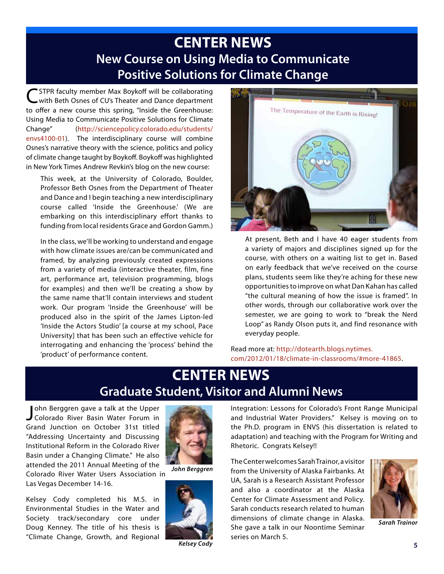## **CENTER NEWS New Course on Using Media to Communicate Positive Solutions for Climate Change**

\* STPR faculty member Max Boykoff will be collaborating with Beth Osnes of CU's Theater and Dance department to offer a new course this spring, "Inside the Greenhouse: Using Media to Communicate Positive Solutions for Climate Change" (http://sciencepolicy.colorado.edu/students/ envs4100-01). The interdisciplinary course will combine Osnes's narrative theory with the science, politics and policy of climate change taught by Boykoff. Boykoff was highlighted in New York Times Andrew Revkin's blog on the new course:

This week, at the University of Colorado, Boulder, Professor Beth Osnes from the Department of Theater and Dance and I begin teaching a new interdisciplinary course called 'Inside the Greenhouse.' (We are embarking on this interdisciplinary effort thanks to funding from local residents Grace and Gordon Gamm.)

In the class, we'll be working to understand and engage with how climate issues are/can be communicated and framed, by analyzing previously created expressions from a variety of media (interactive theater, film, fine art, performance art, television programming, blogs for examples) and then we'll be creating a show by the same name that'll contain interviews and student work. Our program 'Inside the Greenhouse' will be produced also in the spirit of the James Lipton-led 'Inside the Actors Studio' [a course at my school, Pace University] that has been such an effective vehicle for interrogating and enhancing the 'process' behind the 'product' of performance content.



At present, Beth and I have 40 eager students from a variety of majors and disciplines signed up for the course, with others on a waiting list to get in. Based on early feedback that we've received on the course plans, students seem like they're aching for these new opportunities to improve on what Dan Kahan has called "the cultural meaning of how the issue is framed". In other words, through our collaborative work over the semester, we are going to work to "break the Nerd Loop" as Randy Olson puts it, and find resonance with everyday people.

Read more at: http://dotearth.blogs.nytimes. com/2012/01/18/climate-in-classrooms/#more-41865.

## **CENTER NEWS Graduate Student, Visitor and Alumni News**

John Berggren gave a talk at the Upper<br>J Colorado River Basin Water Forum in ohn Berggren gave a talk at the Upper Grand Junction on October 31st titled "Addressing Uncertainty and Discussing Institutional Reform in the Colorado River Basin under a Changing Climate." He also attended the 2011 Annual Meeting of the



Colorado River Water Users Association in Las Vegas December 14-16.

Kelsey Cody completed his M.S. in Environmental Studies in the Water and Society track/secondary core under Doug Kenney. The title of his thesis is "Climate Change, Growth, and Regional

*John Berggren*



*Kelsey Cody*

Integration: Lessons for Colorado's Front Range Municipal and Industrial Water Providers." Kelsey is moving on to the Ph.D. program in ENVS (his dissertation is related to adaptation) and teaching with the Program for Writing and Rhetoric. Congrats Kelsey!!

The Center welcomes Sarah Trainor, a visitor from the University of Alaska Fairbanks. At UA, Sarah is a Research Assistant Professor and also a coordinator at the Alaska Center for Climate Assessment and Policy. Sarah conducts research related to human dimensions of climate change in Alaska. She gave a talk in our Noontime Seminar series on March 5.



*Sarah Trainor*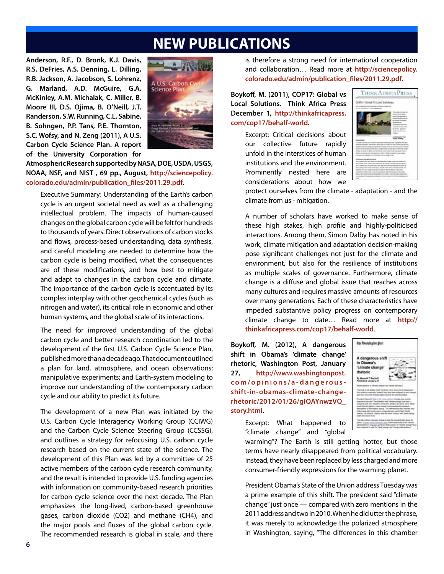### **NEW PUBLICATIONS**

**Anderson, R.F., D. Bronk, K.J. Davis, R.S. DeFries, A.S. Denning, L. Dilling, R.B. Jackson, A. Jacobson, S. Lohrenz, G. Marland, A.D. McGuire, G.A. McKinley, A.M. Michalak, C. Miller, B. Moore III, D.S. Ojima, B. O'Neill, J.T. Randerson, S.W. Running, C.L. Sabine, B. Sohngen, P.P. Tans, P.E. Thornton, S.C. Wofsy, and N. Zeng (2011), A U.S. Carbon Cycle Science Plan. A report of the University Corporation for** 



**Atmospheric Research supported by NASA, DOE, USDA, USGS, NOAA, NSF, and NIST , 69 pp., August, http://sciencepolicy. colorado.edu/admin/publication\_files/2011.29.pdf.**

Executive Summary: Understanding of the Earth's carbon cycle is an urgent societal need as well as a challenging intellectual problem. The impacts of human-caused changes on the global carbon cycle will be felt for hundreds to thousands of years. Direct observations of carbon stocks and flows, process-based understanding, data synthesis, and careful modeling are needed to determine how the carbon cycle is being modified, what the consequences are of these modifications, and how best to mitigate and adapt to changes in the carbon cycle and climate. The importance of the carbon cycle is accentuated by its complex interplay with other geochemical cycles (such as nitrogen and water), its critical role in economic and other human systems, and the global scale of its interactions.

The need for improved understanding of the global carbon cycle and better research coordination led to the development of the first U.S. Carbon Cycle Science Plan, published more than a decade ago. That document outlined a plan for land, atmosphere, and ocean observations; manipulative experiments; and Earth-system modeling to improve our understanding of the contemporary carbon cycle and our ability to predict its future.

The development of a new Plan was initiated by the U.S. Carbon Cycle Interagency Working Group (CCIWG) and the Carbon Cycle Science Steering Group (CCSSG), and outlines a strategy for refocusing U.S. carbon cycle research based on the current state of the science. The development of this Plan was led by a committee of 25 active members of the carbon cycle research community, and the result is intended to provide U.S. funding agencies with information on community-based research priorities for carbon cycle science over the next decade. The Plan emphasizes the long-lived, carbon-based greenhouse gases, carbon dioxide (CO2) and methane (CH4), and the major pools and fluxes of the global carbon cycle. The recommended research is global in scale, and there

is therefore a strong need for international cooperation and collaboration… Read more at **http://sciencepolicy. colorado.edu/admin/publication\_files/2011.29.pdf**.

**Boykoff, M. (2011), COP17: Global vs Local Solutions. Think Africa Press December 1, http://thinkafricapress. com/cop17/behalf-world.**

> Excerpt: Critical decisions about our collective future rapidly unfold in the interstices of human institutions and the environment. Prominently nested here are considerations about how we



protect ourselves from the climate - adaptation - and the climate from us - mitigation.

A number of scholars have worked to make sense of these high stakes, high profile and highly-politicised interactions. Among them, Simon Dalby has noted in his work, climate mitigation and adaptation decision-making pose significant challenges not just for the climate and environment, but also for the resilience of institutions as multiple scales of governance. Furthermore, climate change is a diffuse and global issue that reaches across many cultures and requires massive amounts of resources over many generations. Each of these characteristics have impeded substantive policy progress on contemporary climate change to date… Read more at **http:// thinkafricapress.com/cop17/behalf-world**.

**Boykoff, M. (2012), A dangerous shift in Obama's 'climate change' rhetoric, Washington Post, January 27, http://www.washingtonpost. c o m / o p i n i o n s / a - d a n g e r o u s shift-in-obamas-climate-changerhetoric/2012/01/26/gIQAYnwzVQ\_ story.html.**



Excerpt: What happened to "climate change" and "global

warming"? The Earth is still getting hotter, but those terms have nearly disappeared from political vocabulary. Instead, they have been replaced by less charged and more consumer-friendly expressions for the warming planet.

President Obama's State of the Union address Tuesday was a prime example of this shift. The president said "climate change" just once — compared with zero mentions in the 2011 address and two in 2010. When he did utter the phrase, it was merely to acknowledge the polarized atmosphere in Washington, saying, "The differences in this chamber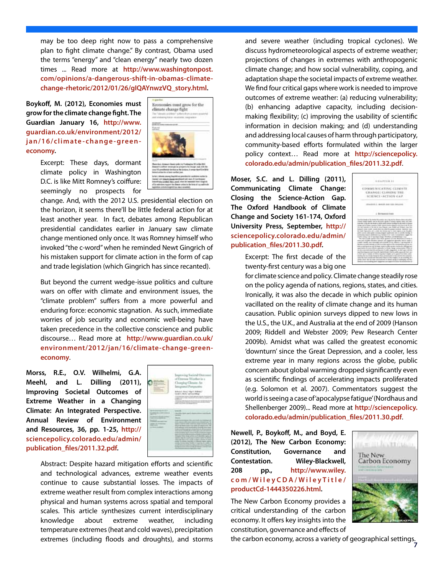may be too deep right now to pass a comprehensive plan to fight climate change." By contrast, Obama used the terms "energy" and "clean energy" nearly two dozen times ... Read more at **http://www.washingtonpost. com/opinions/a-dangerous-shift-in-obamas-climatechange-rhetoric/2012/01/26/gIQAYnwzVQ\_story.html.**

**Boykoff, M. (2012), Economies must grow for the climate change fight. The Guardian January 16, http://www. guardian.co.uk/environment/2012/ j a n / 1 6 / c l i m ate - c h a n g e - gre e n economy.**



Excerpt: These days, dormant climate policy in Washington D.C. is like Mitt Romney's coiffure: seemingly no prospects for

change. And, with the 2012 U.S. presidential election on the horizon, it seems there'll be little federal action for at least another year. In fact, debates among Republican presidential candidates earlier in January saw climate change mentioned only once. It was Romney himself who invoked "the c-word" when he reminded Newt Gingrich of his mistaken support for climate action in the form of cap and trade legislation (which Gingrich has since recanted).

But beyond the current wedge-issue politics and culture wars on offer with climate and environment issues, the "climate problem" suffers from a more powerful and enduring force: economic stagnation. As such, immediate worries of job security and economic well-being have taken precedence in the collective conscience and public discourse… Read more at **http://www.guardian.co.uk/ environment/2012/jan/16/climate-change-greeneconomy**.

**Morss, R.E., O.V. Wilhelmi, G.A. Meehl, and L. Dilling (2011), Improving Societal Outcomes of Extreme Weather in a Changing Climate: An Integrated Perspective. Annual Review of Environment and Resources, 36, pp. 1-25, http:// sciencepolicy.colorado.edu/admin/ publication\_files/2011.32.pdf.**



Abstract: Despite hazard mitigation efforts and scientific and technological advances, extreme weather events continue to cause substantial losses. The impacts of extreme weather result from complex interactions among physical and human systems across spatial and temporal scales. This article synthesizes current interdisciplinary knowledge about extreme weather, including temperature extremes (heat and cold waves), precipitation

and severe weather (including tropical cyclones). We discuss hydrometeorological aspects of extreme weather; projections of changes in extremes with anthropogenic climate change; and how social vulnerability, coping, and adaptation shape the societal impacts of extreme weather. We find four critical gaps where work is needed to improve outcomes of extreme weather: (a) reducing vulnerability; (b) enhancing adaptive capacity, including decisionmaking flexibility; (c) improving the usability of scientific information in decision making; and (d) understanding and addressing local causes of harm through participatory, community-based efforts formulated within the larger policy context… Read more at **http://sciencepolicy. colorado.edu/admin/publication\_files/2011.32.pdf**.

**Moser, S.C. and L. Dilling (2011), Communicating Climate Change: Closing the Science-Action Gap. The Oxford Handbook of Climate Change and Society 161-174, Oxford University Press, September, http:// sciencepolicy.colorado.edu/admin/ publication\_files/2011.30.pdf.**

| COMMUNICATIVE CEIMATE      |  |
|----------------------------|--|
| <b>CRANGE: GLOSING THE</b> |  |
| SCIENCE-ACTION GAP         |  |
|                            |  |
| anald Jun 1111 be          |  |
|                            |  |
| <b>International</b>       |  |
|                            |  |
|                            |  |
|                            |  |

Excerpt: The first decade of the twenty-first century was a big one

for climate science and policy. Climate change steadily rose on the policy agenda of nations, regions, states, and cities. Ironically, it was also the decade in which public opinion vacillated on the reality of climate change and its human causation. Public opinion surveys dipped to new lows in the U.S., the U.K., and Australia at the end of 2009 (Hanson 2009; Riddell and Webster 2009; Pew Research Center 2009b). Amidst what was called the greatest economic 'downturn' since the Great Depression, and a cooler, less extreme year in many regions across the globe, public concern about global warming dropped significantly even as scientific findings of accelerating impacts proliferated (e.g. Solomon et al. 2007). Commentators suggest the world is seeing a case of 'apocalypse fatigue' (Nordhaus and Shellenberger 2009)... Read more at **http://sciencepolicy. colorado.edu/admin/publication\_files/2011.30.pdf**.

**Newell, P., Boykoff, M., and Boyd, E. (2012), The New Carbon Economy: Constitution, Governance and Contestation. Wiley-Blackwell, 208 pp., http://www.wiley. c o m / W i l e y C D A / W i l e y T i t l e / productCd-1444350226.html.**

The New Carbon Economy provides a critical understanding of the carbon economy. It offers key insights into the constitution, governance and effects of



extremes (including floods and droughts), and storms **the carbon economy, across a variety of** geographical settings.<br>7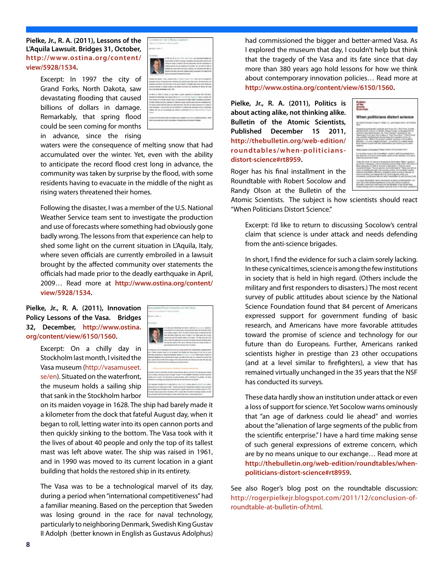**Pielke, Jr., R. A. (2011), Lessons of the L'Aquila Lawsuit. Bridges 31, October, http://www.ostina.org/content/ view/5928/1534.**

> Excerpt: In 1997 the city of Grand Forks, North Dakota, saw devastating flooding that caused billions of dollars in damage. Remarkably, that spring flood could be seen coming for months in advance, since the rising



waters were the consequence of melting snow that had accumulated over the winter. Yet, even with the ability to anticipate the record flood crest long in advance, the community was taken by surprise by the flood, with some residents having to evacuate in the middle of the night as rising waters threatened their homes.

Following the disaster, I was a member of the U.S. National Weather Service team sent to investigate the production and use of forecasts where something had obviously gone badly wrong. The lessons from that experience can help to shed some light on the current situation in L'Aquila, Italy, where seven officials are currently embroiled in a lawsuit brought by the affected community over statements the officials had made prior to the deadly earthquake in April, 2009… Read more at **http://www.ostina.org/content/ view/5928/1534.**

**Pielke, Jr., R. A. (2011), Innovation Policy Lessons of the Vasa. Bridges 32, December, http://www.ostina. org/content/view/6150/1560.**

> Excerpt: On a chilly day in Stockholm last month, I visited the Vasa museum (http://vasamuseet. se/en). Situated on the waterfront, the museum holds a sailing ship that sank in the Stockholm harbor



on its maiden voyage in 1628. The ship had barely made it a kilometer from the dock that fateful August day, when it began to roll, letting water into its open cannon ports and then quickly sinking to the bottom. The Vasa took with it the lives of about 40 people and only the top of its tallest mast was left above water. The ship was raised in 1961, and in 1990 was moved to its current location in a giant building that holds the restored ship in its entirety.

The Vasa was to be a technological marvel of its day, during a period when "international competitiveness" had a familiar meaning. Based on the perception that Sweden was losing ground in the race for naval technology, particularly to neighboring Denmark, Swedish King Gustav II Adolph (better known in English as Gustavus Adolphus)

had commissioned the bigger and better-armed Vasa. As I explored the museum that day, I couldn't help but think that the tragedy of the Vasa and its fate since that day more than 380 years ago hold lessons for how we think about contemporary innovation policies… Read more at **http://www.ostina.org/content/view/6150/1560.**

**Pielke, Jr., R. A. (2011), Politics is about acting alike, not thinking alike. Bulletin of the Atomic Scientists, Published December 15 2011, http://thebulletin.org/web-edition/ roundtables/when-politiciansdistort-science#rt8959.**



Roger has his final installment in the Roundtable with Robert Socolow and Randy Olson at the Bulletin of the

Atomic Scientists. The subject is how scientists should react "When Politicians Distort Science."

Excerpt: I'd like to return to discussing Socolow's central claim that science is under attack and needs defending from the anti-science brigades.

In short, I find the evidence for such a claim sorely lacking. In these cynical times, science is among the few institutions in society that is held in high regard. (Others include the military and first responders to disasters.) The most recent survey of public attitudes about science by the National Science Foundation found that 84 percent of Americans expressed support for government funding of basic research, and Americans have more favorable attitudes toward the promise of science and technology for our future than do Europeans. Further, Americans ranked scientists higher in prestige than 23 other occupations (and at a level similar to firefighters), a view that has remained virtually unchanged in the 35 years that the NSF has conducted its surveys.

These data hardly show an institution under attack or even a loss of support for science. Yet Socolow warns ominously that "an age of darkness could lie ahead" and worries about the "alienation of large segments of the public from the scientific enterprise." I have a hard time making sense of such general expressions of extreme concern, which are by no means unique to our exchange… Read more at **http://thebulletin.org/web-edition/roundtables/whenpoliticians-distort-science#rt8959.**

See also Roger's blog post on the roundtable discussion: http://rogerpielkejr.blogspot.com/2011/12/conclusion-ofroundtable-at-bulletin-of.html.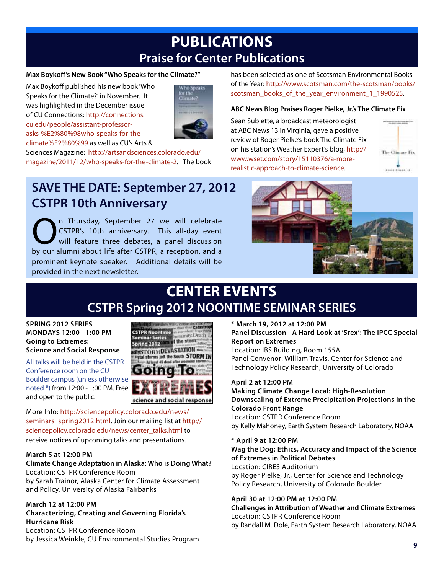## **PUBLICATIONS Praise for Center Publications**

#### **Max Boykoff's New Book "Who Speaks for the Climate?"**

Max Boykoff published his new book 'Who Speaks for the Climate?' in November. It was highlighted in the December issue of CU Connections: http://connections. cu.edu/people/assistant-professorasks-%E2%80%98who-speaks-for-theclimate%E2%80%99 as well as CU's Arts &



Sciences Magazine: http://artsandsciences.colorado.edu/ magazine/2011/12/who-speaks-for-the-climate-2. The book

**SAVE THE DATE: September 27, 2012 CSTPR 10th Anniversary**

**On Thursday, September 27 we will celebrate**<br>CSTPR's 10th anniversary. This all-day event<br>will feature three debates, a panel discussion<br>by our alumni about life after CSTPP a recention and a CSTPR's 10th anniversary. This all-day event will feature three debates, a panel discussion by our alumni about life after CSTPR, a reception, and a prominent keynote speaker. Additional details will be provided in the next newsletter.



The Climate Fix

has been selected as one of Scotsman Environmental Books of the Year: http://www.scotsman.com/the-scotsman/books/ scotsman\_books\_of\_the\_year\_environment\_1\_1990525.

**ABC News Blog Praises Roger Pielke, Jr.'s The Climate Fix**

Sean Sublette, a broadcast meteorologist at ABC News 13 in Virginia, gave a positive review of Roger Pielke's book The Climate Fix on his station's Weather Expert's blog, http:// www.wset.com/story/15110376/a-morerealistic-approach-to-climate-science.

## **CENTER EVENTS CSTPR Spring 2012 NOONTIME SEMINAR SERIES**

**SPRING 2012 SERIES MONDAYS 12:00 - 1:00 PM Going to Extremes: Science and Social Response**

All talks will be held in the CSTPR Conference room on the CU Boulder campus (unless otherwise noted \*) from 12:00 - 1:00 PM. Free and open to the public.



More Info: http://sciencepolicy.colorado.edu/news/ seminars\_spring2012.html. Join our mailing list at http:// sciencepolicy.colorado.edu/news/center\_talks.html to receive notices of upcoming talks and presentations.

#### **March 5 at 12:00 PM**

#### **Climate Change Adaptation in Alaska: Who is Doing What?** Location: CSTPR Conference Room

by Sarah Trainor, Alaska Center for Climate Assessment and Policy, University of Alaska Fairbanks

#### **March 12 at 12:00 PM Characterizing, Creating and Governing Florida's Hurricane Risk** Location: CSTPR Conference Room by Jessica Weinkle, CU Environmental Studies Program **9**

**\* March 19, 2012 at 12:00 PM Panel Discussion - A Hard Look at 'Srex': The IPCC Special Report on Extremes** Location: IBS Building, Room 155A Panel Convenor: William Travis, Center for Science and Technology Policy Research, University of Colorado

#### **April 2 at 12:00 PM**

**Making Climate Change Local: High-Resolution Downscaling of Extreme Precipitation Projections in the Colorado Front Range** Location: CSTPR Conference Room by Kelly Mahoney, Earth System Research Laboratory, NOAA

#### **\* April 9 at 12:00 PM**

**Wag the Dog: Ethics, Accuracy and Impact of the Science of Extremes in Political Debates**

Location: CIRES Auditorium by Roger Pielke, Jr., Center for Science and Technology Policy Research, University of Colorado Boulder

#### **April 30 at 12:00 PM at 12:00 PM**

**Challenges in Attribution of Weather and Climate Extremes** Location: CSTPR Conference Room by Randall M. Dole, Earth System Research Laboratory, NOAA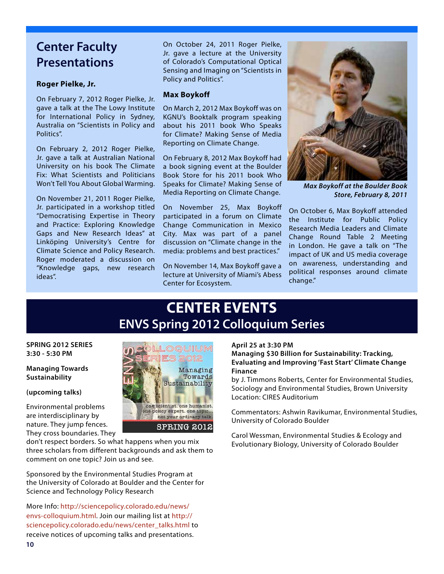### **Center Faculty Presentations**

#### **Roger Pielke, Jr.**

On February 7, 2012 Roger Pielke, Jr. gave a talk at the The Lowy Institute for International Policy in Sydney, Australia on "Scientists in Policy and Politics".

On February 2, 2012 Roger Pielke, Jr. gave a talk at Australian National University on his book The Climate Fix: What Scientists and Politicians Won't Tell You About Global Warming.

On November 21, 2011 Roger Pielke, Jr. participated in a workshop titled "Democratising Expertise in Theory and Practice: Exploring Knowledge Gaps and New Research Ideas" at Linköping University's Centre for Climate Science and Policy Research. Roger moderated a discussion on "Knowledge gaps, new research ideas".

On October 24, 2011 Roger Pielke, Jr. gave a lecture at the University of Colorado's Computational Optical Sensing and Imaging on "Scientists in Policy and Politics".

#### **Max Boykoff**

On March 2, 2012 Max Boykoff was on KGNU's Booktalk program speaking about his 2011 book Who Speaks for Climate? Making Sense of Media Reporting on Climate Change.

On February 8, 2012 Max Boykoff had a book signing event at the Boulder Book Store for his 2011 book Who Speaks for Climate? Making Sense of Media Reporting on Climate Change.

On November 25, Max Boykoff participated in a forum on Climate Change Communication in Mexico City. Max was part of a panel discussion on "Climate change in the media: problems and best practices."

On November 14, Max Boykoff gave a lecture at University of Miami's Abess Center for Ecosystem.



*Max Boykoff at the Boulder Book Store, February 8, 2011*

On October 6, Max Boykoff attended the Institute for Public Policy Research Media Leaders and Climate Change Round Table 2 Meeting in London. He gave a talk on "The impact of UK and US media coverage on awareness, understanding and political responses around climate change."

## **CENTER EVENTS ENVS Spring 2012 Colloquium Series**

OQUIUM 2012 Managing Towards Sustainability

one scientist, one humanist. one policy expert, one topic... not your ordinary talk **SPRING 2012** 

#### **SPRING 2012 SERIES 3:30 - 5:30 PM**

#### **Managing Towards Sustainability**

#### **(upcoming talks)**

Environmental problems are interdisciplinary by nature. They jump fences. They cross boundaries. They

don't respect borders. So what happens when you mix three scholars from different backgrounds and ask them to comment on one topic? Join us and see.

Sponsored by the Environmental Studies Program at the University of Colorado at Boulder and the Center for Science and Technology Policy Research

More Info: http://sciencepolicy.colorado.edu/news/ envs-colloquium.html. Join our mailing list at http:// sciencepolicy.colorado.edu/news/center\_talks.html to receive notices of upcoming talks and presentations.

#### **April 25 at 3:30 PM**

**Managing \$30 Billion for Sustainability: Tracking, Evaluating and Improving 'Fast Start' Climate Change Finance**

by J. Timmons Roberts, Center for Environmental Studies, Sociology and Environmental Studies, Brown University Location: CIRES Auditorium

Commentators: Ashwin Ravikumar, Environmental Studies, University of Colorado Boulder

Carol Wessman, Environmental Studies & Ecology and Evolutionary Biology, University of Colorado Boulder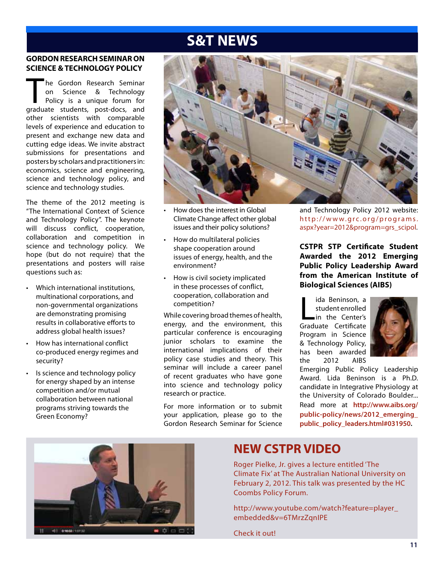## **S&T NEWS**

#### **GORDON RESEARCH SEMINAR ON SCIENCE & TECHNOLOGY POLICY**

The Gordon Research Seminar<br>
on Science & Technology<br>
Policy is a unique forum for<br>
praduate students post-docs and on Science & Technology Policy is a unique forum for graduate students, post-docs, and other scientists with comparable levels of experience and education to present and exchange new data and cutting edge ideas. We invite abstract submissions for presentations and posters by scholars and practitioners in: economics, science and engineering, science and technology policy, and science and technology studies.

The theme of the 2012 meeting is "The International Context of Science and Technology Policy". The keynote will discuss conflict, cooperation, collaboration and competition in science and technology policy. We hope (but do not require) that the presentations and posters will raise questions such as:

- Which international institutions, multinational corporations, and non-governmental organizations are demonstrating promising results in collaborative efforts to address global health issues?
- How has international conflict co-produced energy regimes and security?
- Is science and technology policy for energy shaped by an intense competition and/or mutual collaboration between national programs striving towards the Green Economy?



- How does the interest in Global Climate Change affect other global issues and their policy solutions?
- How do multilateral policies shape cooperation around issues of energy, health, and the environment?
- How is civil society implicated in these processes of conflict, cooperation, collaboration and competition?

While covering broad themes of health, energy, and the environment, this particular conference is encouraging junior scholars to examine the international implications of their policy case studies and theory. This seminar will include a career panel of recent graduates who have gone into science and technology policy research or practice.

For more information or to submit your application, please go to the Gordon Research Seminar for Science

and Technology Policy 2012 website: http://www.grc.org/programs. aspx?year=2012&program=grs\_scipol.

**CSTPR STP Certificate Student Awarded the 2012 Emerging Public Policy Leadership Award from the American Institute of Biological Sciences (AIBS)**

ida Beninson, a<br>student enrolled<br>in the Center's<br>Graduate Certificate ida Beninson, a student enrolled in the Center's Program in Science & Technology Policy, has been awarded the 2012 AIBS



Emerging Public Policy Leadership Award. Lida Beninson is a Ph.D. candidate in Integrative Physiology at the University of Colorado Boulder... Read more at **http://www.aibs.org/ public-policy/news/2012\_emerging\_ public\_policy\_leaders.html#031950.**



### **NEW CSTPR VIDEO**

Roger Pielke, Jr. gives a lecture entitled 'The Climate Fix' at The Australian National University on February 2, 2012. This talk was presented by the HC Coombs Policy Forum.

http://www.youtube.com/watch?feature=player\_ embedded&v=6TMrzZqnIPE

Check it out!